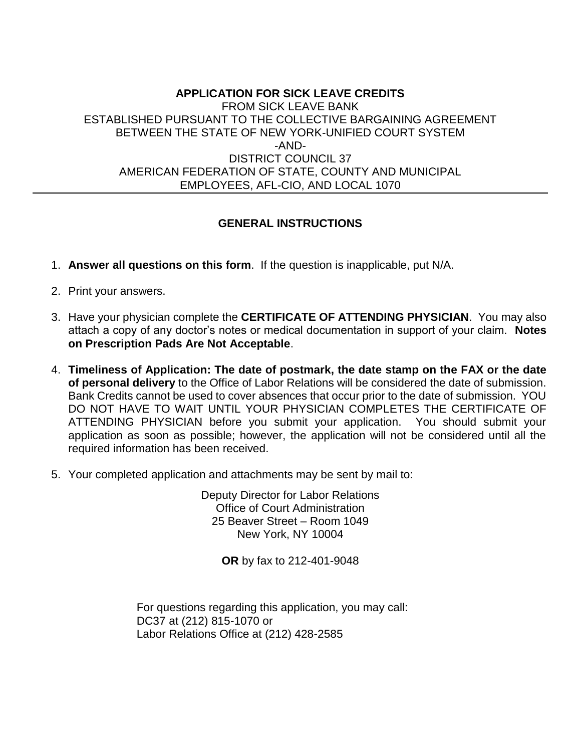#### **APPLICATION FOR SICK LEAVE CREDITS** FROM SICK LEAVE BANK ESTABLISHED PURSUANT TO THE COLLECTIVE BARGAINING AGREEMENT BETWEEN THE STATE OF NEW YORK-UNIFIED COURT SYSTEM -AND-DISTRICT COUNCIL 37 AMERICAN FEDERATION OF STATE, COUNTY AND MUNICIPAL EMPLOYEES, AFL-CIO, AND LOCAL 1070

#### **GENERAL INSTRUCTIONS**

- 1. **Answer all questions on this form**. If the question is inapplicable, put N/A.
- 2. Print your answers.
- 3. Have your physician complete the **CERTIFICATE OF ATTENDING PHYSICIAN**. You may also attach a copy of any doctor's notes or medical documentation in support of your claim. **Notes on Prescription Pads Are Not Acceptable**.
- 4. **Timeliness of Application: The date of postmark, the date stamp on the FAX or the date of personal delivery** to the Office of Labor Relations will be considered the date of submission. Bank Credits cannot be used to cover absences that occur prior to the date of submission. YOU DO NOT HAVE TO WAIT UNTIL YOUR PHYSICIAN COMPLETES THE CERTIFICATE OF ATTENDING PHYSICIAN before you submit your application. You should submit your application as soon as possible; however, the application will not be considered until all the required information has been received.
- 5. Your completed application and attachments may be sent by mail to:

Deputy Director for Labor Relations Office of Court Administration 25 Beaver Street – Room 1049 New York, NY 10004

**OR** by fax to 212-401-9048

For questions regarding this application, you may call: DC37 at (212) 815-1070 or Labor Relations Office at (212) 428-2585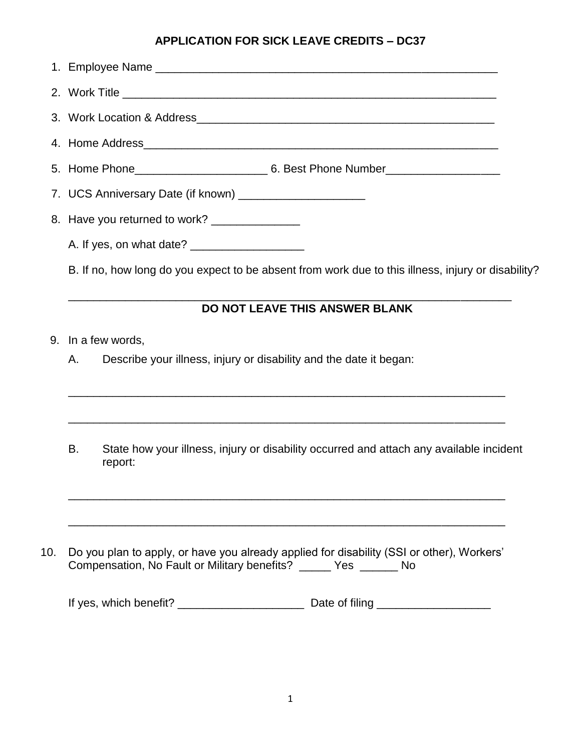## **APPLICATION FOR SICK LEAVE CREDITS – DC37**

| 7. UCS Anniversary Date (if known) _______________________ |  |
|------------------------------------------------------------|--|
| 8. Have you returned to work? _______________              |  |
|                                                            |  |
|                                                            |  |

B. If no, how long do you expect to be absent from work due to this illness, injury or disability?

# **DO NOT LEAVE THIS ANSWER BLANK**

\_\_\_\_\_\_\_\_\_\_\_\_\_\_\_\_\_\_\_\_\_\_\_\_\_\_\_\_\_\_\_\_\_\_\_\_\_\_\_\_\_\_\_\_\_\_\_\_\_\_\_\_\_\_\_\_\_\_\_\_\_\_\_\_\_\_\_\_\_\_

- 9. In a few words,
	- A. Describe your illness, injury or disability and the date it began:
	- B. State how your illness, injury or disability occurred and attach any available incident report:

 $\mathcal{L}_\text{max} = \mathcal{L}_\text{max} = \mathcal{L}_\text{max} = \mathcal{L}_\text{max} = \mathcal{L}_\text{max} = \mathcal{L}_\text{max} = \mathcal{L}_\text{max} = \mathcal{L}_\text{max} = \mathcal{L}_\text{max} = \mathcal{L}_\text{max} = \mathcal{L}_\text{max} = \mathcal{L}_\text{max} = \mathcal{L}_\text{max} = \mathcal{L}_\text{max} = \mathcal{L}_\text{max} = \mathcal{L}_\text{max} = \mathcal{L}_\text{max} = \mathcal{L}_\text{max} = \mathcal{$ 

\_\_\_\_\_\_\_\_\_\_\_\_\_\_\_\_\_\_\_\_\_\_\_\_\_\_\_\_\_\_\_\_\_\_\_\_\_\_\_\_\_\_\_\_\_\_\_\_\_\_\_\_\_\_\_\_\_\_\_\_\_\_\_\_\_\_\_\_\_

\_\_\_\_\_\_\_\_\_\_\_\_\_\_\_\_\_\_\_\_\_\_\_\_\_\_\_\_\_\_\_\_\_\_\_\_\_\_\_\_\_\_\_\_\_\_\_\_\_\_\_\_\_\_\_\_\_\_\_\_\_\_\_\_\_\_\_\_\_

\_\_\_\_\_\_\_\_\_\_\_\_\_\_\_\_\_\_\_\_\_\_\_\_\_\_\_\_\_\_\_\_\_\_\_\_\_\_\_\_\_\_\_\_\_\_\_\_\_\_\_\_\_\_\_\_\_\_\_\_\_\_\_\_\_\_\_\_\_

 10. Do you plan to apply, or have you already applied for disability (SSI or other), Workers' Compensation, No Fault or Military benefits? \_\_\_\_\_ Yes \_\_\_\_\_\_ No

| If yes, which benefit? | Date of filing |
|------------------------|----------------|
|                        |                |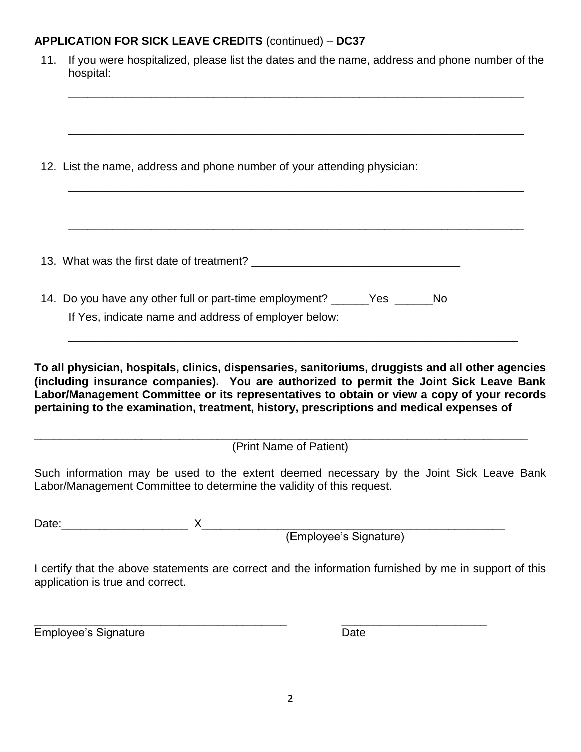## **APPLICATION FOR SICK LEAVE CREDITS** (continued) – **DC37**

| If you were hospitalized, please list the dates and the name, address and phone number of the                                                                                                                                                                                              |
|--------------------------------------------------------------------------------------------------------------------------------------------------------------------------------------------------------------------------------------------------------------------------------------------|
|                                                                                                                                                                                                                                                                                            |
|                                                                                                                                                                                                                                                                                            |
|                                                                                                                                                                                                                                                                                            |
|                                                                                                                                                                                                                                                                                            |
|                                                                                                                                                                                                                                                                                            |
| To all physician, hospitals, clinics, dispensaries, sanitoriums, druggists and all other agencies<br>(including insurance companies). You are authorized to permit the Joint Sick Leave Bank<br>Labor/Management Committee or its representatives to obtain or view a copy of your records |

(Print Name of Patient)

\_\_\_\_\_\_\_\_\_\_\_\_\_\_\_\_\_\_\_\_\_\_\_\_\_\_\_\_\_\_\_\_\_\_\_\_\_\_\_\_\_\_\_\_\_\_\_\_\_\_\_\_\_\_\_\_\_\_\_\_\_\_\_\_\_\_\_\_\_\_\_\_\_\_\_\_\_\_

Such information may be used to the extent deemed necessary by the Joint Sick Leave Bank Labor/Management Committee to determine the validity of this request.

Date:\_\_\_\_\_\_\_\_\_\_\_\_\_\_\_\_\_\_\_\_ X\_\_\_\_\_\_\_\_\_\_\_\_\_\_\_\_\_\_\_\_\_\_\_\_\_\_\_\_\_\_\_\_\_\_\_\_\_\_\_\_\_\_\_\_\_\_\_\_

(Employee's Signature)

I certify that the above statements are correct and the information furnished by me in support of this application is true and correct.

Employee's Signature **Date** Date

\_\_\_\_\_\_\_\_\_\_\_\_\_\_\_\_\_\_\_\_\_\_\_\_\_\_\_\_\_\_\_\_\_\_\_\_\_\_\_\_ \_\_\_\_\_\_\_\_\_\_\_\_\_\_\_\_\_\_\_\_\_\_\_